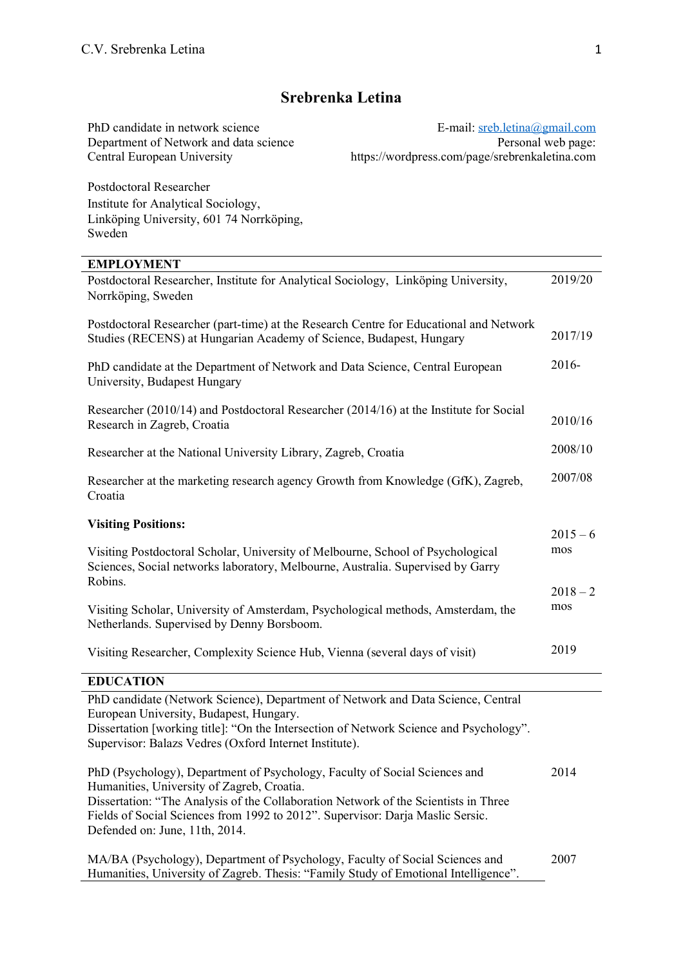# **Srebrenka Letina**

E-mail: [sreb.letina@gmail.com](mailto:sreb.letina@gmail.com) Personal web page: https://wordpress.com/page/srebrenkaletina.com

Postdoctoral Researcher Institute for Analytical Sociology, Linköping University, 601 74 Norrköping, Sweden

PhD candidate in network science Department of Network and data science

Central European University

| <b>EMPLOYMENT</b>                                                                                                                                                                                                     |            |
|-----------------------------------------------------------------------------------------------------------------------------------------------------------------------------------------------------------------------|------------|
| Postdoctoral Researcher, Institute for Analytical Sociology, Linköping University,<br>Norrköping, Sweden                                                                                                              | 2019/20    |
| Postdoctoral Researcher (part-time) at the Research Centre for Educational and Network<br>Studies (RECENS) at Hungarian Academy of Science, Budapest, Hungary                                                         | 2017/19    |
| PhD candidate at the Department of Network and Data Science, Central European<br>University, Budapest Hungary                                                                                                         | 2016-      |
| Researcher (2010/14) and Postdoctoral Researcher (2014/16) at the Institute for Social<br>Research in Zagreb, Croatia                                                                                                 | 2010/16    |
| Researcher at the National University Library, Zagreb, Croatia                                                                                                                                                        | 2008/10    |
| Researcher at the marketing research agency Growth from Knowledge (GfK), Zagreb,<br>Croatia                                                                                                                           | 2007/08    |
| <b>Visiting Positions:</b>                                                                                                                                                                                            | $2015 - 6$ |
| Visiting Postdoctoral Scholar, University of Melbourne, School of Psychological<br>Sciences, Social networks laboratory, Melbourne, Australia. Supervised by Garry                                                    | mos        |
| Robins.                                                                                                                                                                                                               | $2018 - 2$ |
| Visiting Scholar, University of Amsterdam, Psychological methods, Amsterdam, the<br>Netherlands. Supervised by Denny Borsboom.                                                                                        | mos        |
| Visiting Researcher, Complexity Science Hub, Vienna (several days of visit)                                                                                                                                           | 2019       |
| <b>EDUCATION</b>                                                                                                                                                                                                      |            |
| PhD candidate (Network Science), Department of Network and Data Science, Central<br>European University, Budapest, Hungary.<br>Dissertation [working title]: "On the Intersection of Network Science and Psychology". |            |
| Supervisor: Balazs Vedres (Oxford Internet Institute).<br>$DLD(D_{\text{cusp}})$                                                                                                                                      | 2011       |

| PhD (Psychology), Department of Psychology, Faculty of Social Sciences and          | 2014 |
|-------------------------------------------------------------------------------------|------|
| Humanities, University of Zagreb, Croatia.                                          |      |
| Dissertation: "The Analysis of the Collaboration Network of the Scientists in Three |      |
| Fields of Social Sciences from 1992 to 2012". Supervisor: Darja Maslic Sersic.      |      |
| Defended on: June, 11th, 2014.                                                      |      |
|                                                                                     |      |

MA/BA (Psychology), Department of Psychology, Faculty of Social Sciences and Humanities, University of Zagreb. Thesis: "Family Study of Emotional Intelligence". 2007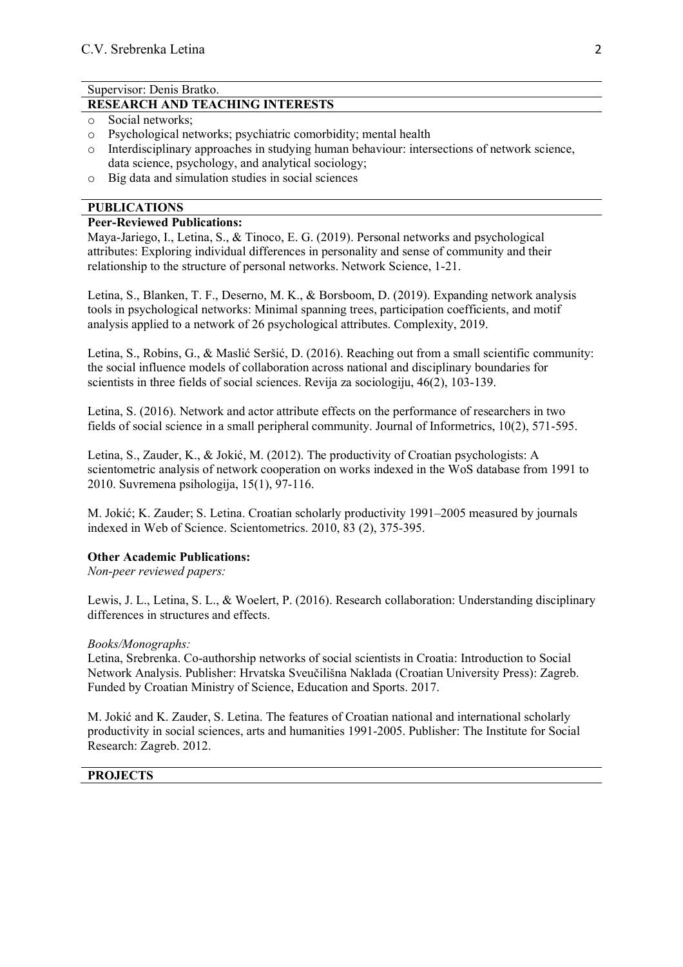#### Supervisor: Denis Bratko.

#### **RESEARCH AND TEACHING INTERESTS**

- o Social networks;
- o Psychological networks; psychiatric comorbidity; mental health
- $\circ$  Interdisciplinary approaches in studying human behaviour: intersections of network science, data science, psychology, and analytical sociology;
- o Big data and simulation studies in social sciences

## **PUBLICATIONS**

#### **Peer-Reviewed Publications:**

Maya-Jariego, I., Letina, S., & Tinoco, E. G. (2019). Personal networks and psychological attributes: Exploring individual differences in personality and sense of community and their relationship to the structure of personal networks. Network Science, 1-21.

Letina, S., Blanken, T. F., Deserno, M. K., & Borsboom, D. (2019). Expanding network analysis tools in psychological networks: Minimal spanning trees, participation coefficients, and motif analysis applied to a network of 26 psychological attributes. Complexity, 2019.

Letina, S., Robins, G., & Maslić Seršić, D. (2016). Reaching out from a small scientific community: the social influence models of collaboration across national and disciplinary boundaries for scientists in three fields of social sciences. Revija za sociologiju, 46(2), 103-139.

Letina, S. (2016). Network and actor attribute effects on the performance of researchers in two fields of social science in a small peripheral community. Journal of Informetrics, 10(2), 571-595.

Letina, S., Zauder, K., & Jokić, M. (2012). The productivity of Croatian psychologists: A scientometric analysis of network cooperation on works indexed in the WoS database from 1991 to 2010. Suvremena psihologija, 15(1), 97-116.

M. Jokić; K. Zauder; S. Letina. Croatian scholarly productivity 1991–2005 measured by journals indexed in Web of Science. Scientometrics. 2010, 83 (2), 375-395.

### **Other Academic Publications:**

*Non-peer reviewed papers:*

Lewis, J. L., Letina, S. L., & Woelert, P. (2016). Research collaboration: Understanding disciplinary differences in structures and effects.

#### *Books/Monographs:*

Letina, Srebrenka. Co-authorship networks of social scientists in Croatia: Introduction to Social Network Analysis. Publisher: Hrvatska Sveučilišna Naklada (Croatian University Press): Zagreb. Funded by Croatian Ministry of Science, Education and Sports. 2017.

M. Jokić and K. Zauder, S. Letina. The features of Croatian national and international scholarly productivity in social sciences, arts and humanities 1991-2005. Publisher: The Institute for Social Research: Zagreb. 2012.

## **PROJECTS**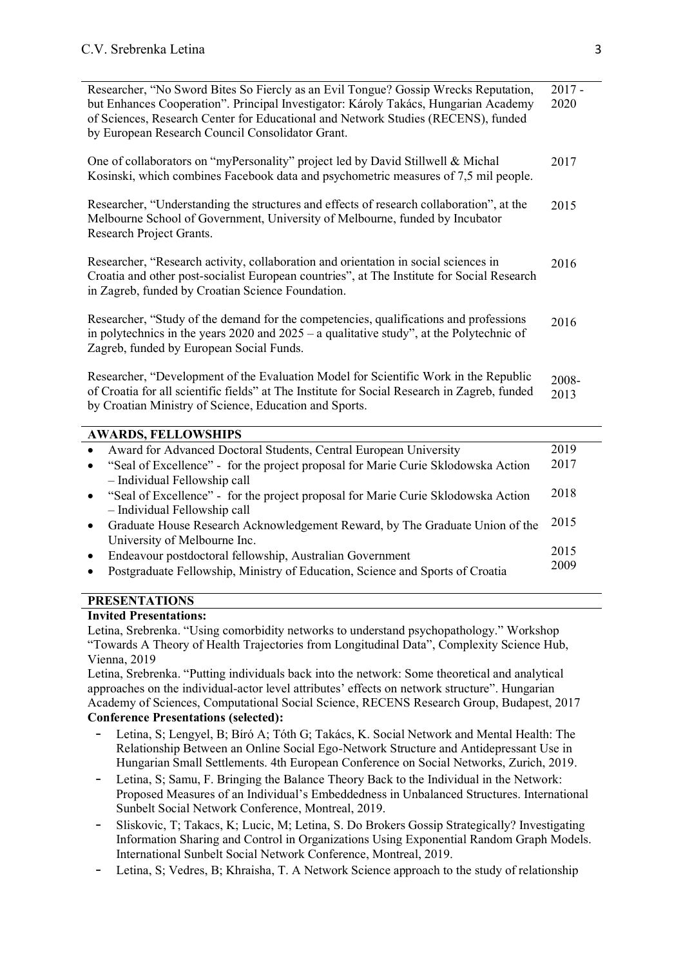| Researcher, "No Sword Bites So Fiercly as an Evil Tongue? Gossip Wrecks Reputation,<br>but Enhances Cooperation". Principal Investigator: Károly Takács, Hungarian Academy<br>of Sciences, Research Center for Educational and Network Studies (RECENS), funded<br>by European Research Council Consolidator Grant. | $2017 -$<br>2020 |
|---------------------------------------------------------------------------------------------------------------------------------------------------------------------------------------------------------------------------------------------------------------------------------------------------------------------|------------------|
| One of collaborators on "myPersonality" project led by David Stillwell & Michal<br>Kosinski, which combines Facebook data and psychometric measures of 7,5 mil people.                                                                                                                                              | 2017             |
| Researcher, "Understanding the structures and effects of research collaboration", at the<br>Melbourne School of Government, University of Melbourne, funded by Incubator<br>Research Project Grants.                                                                                                                | 2015             |
| Researcher, "Research activity, collaboration and orientation in social sciences in<br>Croatia and other post-socialist European countries", at The Institute for Social Research<br>in Zagreb, funded by Croatian Science Foundation.                                                                              | 2016             |
| Researcher, "Study of the demand for the competencies, qualifications and professions<br>in polytechnics in the years $2020$ and $2025 - a$ qualitative study", at the Polytechnic of<br>Zagreb, funded by European Social Funds.                                                                                   | 2016             |
| Researcher, "Development of the Evaluation Model for Scientific Work in the Republic<br>of Croatia for all scientific fields" at The Institute for Social Research in Zagreb, funded<br>by Croatian Ministry of Science, Education and Sports.                                                                      | 2008-<br>2013    |
| <b>AWARDS, FELLOWSHIPS</b>                                                                                                                                                                                                                                                                                          |                  |
| Award for Advanced Doctoral Students, Central European University<br>$\bullet$                                                                                                                                                                                                                                      | 2019             |
| "Seal of Excellence" - for the project proposal for Marie Curie Sklodowska Action<br>$\bullet$<br>- Individual Fellowship call                                                                                                                                                                                      | 2017             |
| "Seal of Excellence" - for the project proposal for Marie Curie Sklodowska Action<br>$\bullet$<br>- Individual Fellowship call                                                                                                                                                                                      | 2018             |
| Graduate House Research Acknowledgement Reward, by The Graduate Union of the<br>$\bullet$<br>University of Melbourne Inc.                                                                                                                                                                                           | 2015             |
| Endeavour postdoctoral fellowship, Australian Government<br>$\bullet$                                                                                                                                                                                                                                               | 2015             |
| Postgraduate Fellowship, Ministry of Education, Science and Sports of Croatia<br>$\bullet$                                                                                                                                                                                                                          | 2009             |

## **PRESENTATIONS**

### **Invited Presentations:**

Letina, Srebrenka. "Using comorbidity networks to understand psychopathology." Workshop "Towards A Theory of Health Trajectories from Longitudinal Data", Complexity Science Hub, Vienna, 2019

Letina, Srebrenka. "Putting individuals back into the network: Some theoretical and analytical approaches on the individual-actor level attributes' effects on network structure". Hungarian Academy of Sciences, Computational Social Science, RECENS Research Group, Budapest, 2017 **Conference Presentations (selected):**

- Letina, S; Lengyel, B; Bíró A; Tóth G; Takács, K. Social Network and Mental Health: The Relationship Between an Online Social Ego-Network Structure and Antidepressant Use in Hungarian Small Settlements. 4th European Conference on Social Networks, Zurich, 2019.
- Letina, S; Samu, F. Bringing the Balance Theory Back to the Individual in the Network: Proposed Measures of an Individual's Embeddedness in Unbalanced Structures. International Sunbelt Social Network Conference, Montreal, 2019.
- Sliskovic, T; Takacs, K; Lucic, M; Letina, S. Do Brokers Gossip Strategically? Investigating Information Sharing and Control in Organizations Using Exponential Random Graph Models. International Sunbelt Social Network Conference, Montreal, 2019.
- Letina, S; Vedres, B; Khraisha, T. A Network Science approach to the study of relationship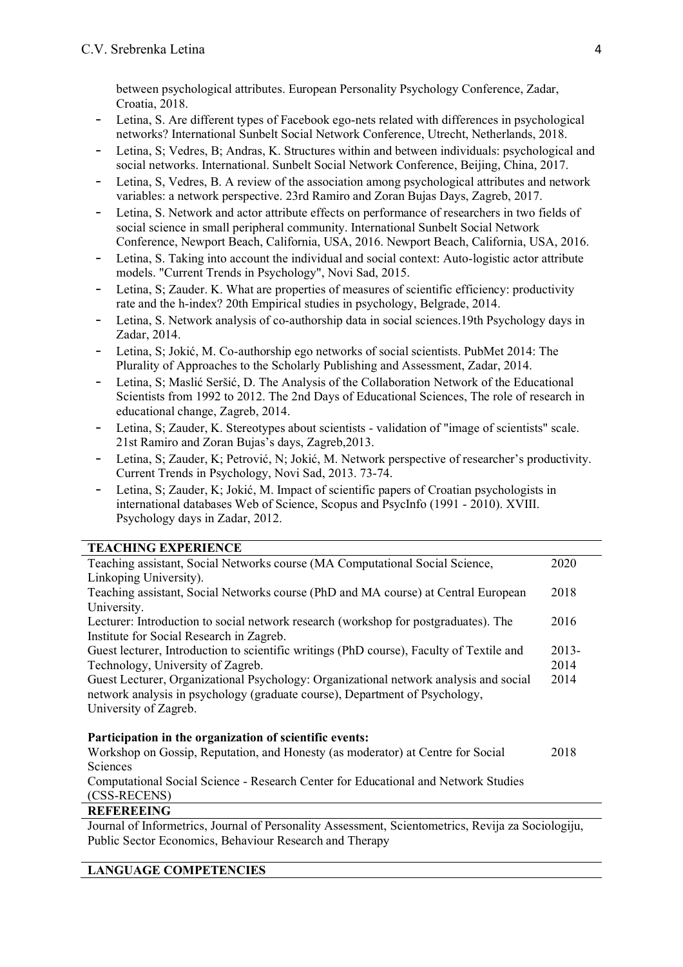between psychological attributes. European Personality Psychology Conference, Zadar, Croatia, 2018.

- Letina, S. Are different types of Facebook ego-nets related with differences in psychological networks? International Sunbelt Social Network Conference, Utrecht, Netherlands, 2018.
- Letina, S; Vedres, B; Andras, K. Structures within and between individuals: psychological and social networks. International. Sunbelt Social Network Conference, Beijing, China, 2017.
- Letina, S, Vedres, B. A review of the association among psychological attributes and network variables: a network perspective. 23rd Ramiro and Zoran Bujas Days, Zagreb, 2017.
- Letina, S. Network and actor attribute effects on performance of researchers in two fields of social science in small peripheral community. International Sunbelt Social Network Conference, Newport Beach, California, USA, 2016. Newport Beach, California, USA, 2016.
- Letina, S. Taking into account the individual and social context: Auto-logistic actor attribute models. "Current Trends in Psychology", Novi Sad, 2015.
- Letina, S; Zauder. K. What are properties of measures of scientific efficiency: productivity rate and the h-index? 20th Empirical studies in psychology, Belgrade, 2014.
- Letina, S. Network analysis of co-authorship data in social sciences.19th Psychology days in Zadar, 2014.
- Letina, S; Jokić, M. Co-authorship ego networks of social scientists. PubMet 2014: The Plurality of Approaches to the Scholarly Publishing and Assessment, Zadar, 2014.
- Letina, S; Maslić Seršić, D. The Analysis of the Collaboration Network of the Educational Scientists from 1992 to 2012. The 2nd Days of Educational Sciences, The role of research in educational change, Zagreb, 2014.
- Letina, S; Zauder, K. Stereotypes about scientists validation of "image of scientists" scale. 21st Ramiro and Zoran Bujas's days, Zagreb,2013.
- Letina, S; Zauder, K; Petrović, N; Jokić, M. Network perspective of researcher's productivity. Current Trends in Psychology, Novi Sad, 2013. 73-74.
- Letina, S; Zauder, K; Jokić, M. Impact of scientific papers of Croatian psychologists in international databases Web of Science, Scopus and PsycInfo (1991 - 2010). XVIII. Psychology days in Zadar, 2012.

## **TEACHING EXPERIENCE**

| Teaching assistant, Social Networks course (MA Computational Social Science,<br>2020              |  |
|---------------------------------------------------------------------------------------------------|--|
| Linkoping University).                                                                            |  |
| Teaching assistant, Social Networks course (PhD and MA course) at Central European<br>2018        |  |
| University.                                                                                       |  |
| Lecturer: Introduction to social network research (workshop for postgraduates). The<br>2016       |  |
| Institute for Social Research in Zagreb.                                                          |  |
| Guest lecturer, Introduction to scientific writings (PhD course), Faculty of Textile and<br>2013- |  |
| 2014<br>Technology, University of Zagreb.                                                         |  |
| Guest Lecturer, Organizational Psychology: Organizational network analysis and social<br>2014     |  |
| network analysis in psychology (graduate course), Department of Psychology,                       |  |
| University of Zagreb.                                                                             |  |
|                                                                                                   |  |
| Participation in the organization of scientific events:                                           |  |
| Workshop on Gossip, Reputation, and Honesty (as moderator) at Centre for Social<br>2018           |  |
| Sciences                                                                                          |  |
| Computational Social Science - Research Center for Educational and Network Studies                |  |

#### (CSS-RECENS) **REFEREEING**

Journal of Informetrics, Journal of Personality Assessment, Scientometrics, Revija za Sociologiju, Public Sector Economics, Behaviour Research and Therapy

## **LANGUAGE COMPETENCIES**